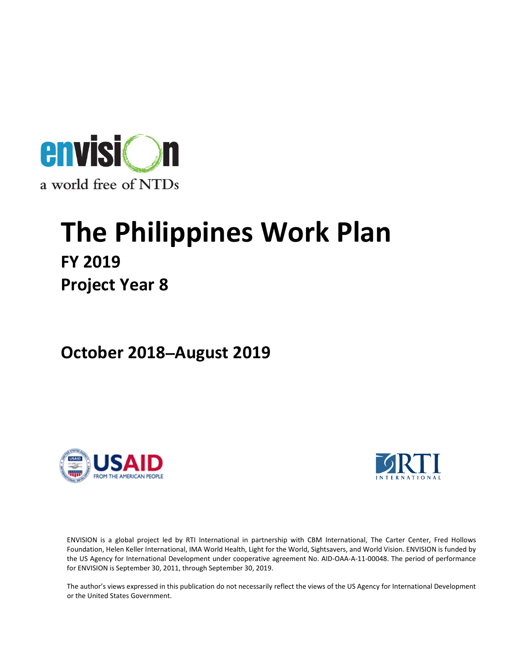

# The Philippines Work Plan FY 2019 Project Year 8

October 2018**–**August 2019





ENVISION is a global project led by RTI International in partnership with CBM International, The Carter Center, Fred Hollows Foundation, Helen Keller International, IMA World Health, Light for the World, Sightsavers, and World Vision. ENVISION is funded by the US Agency for International Development under cooperative agreement No. AID-OAA-A-11-00048. The period of performance for ENVISION is September 30, 2011, through September 30, 2019.

The author's views expressed in this publication do not necessarily reflect the views of the US Agency for International Development or the United States Government.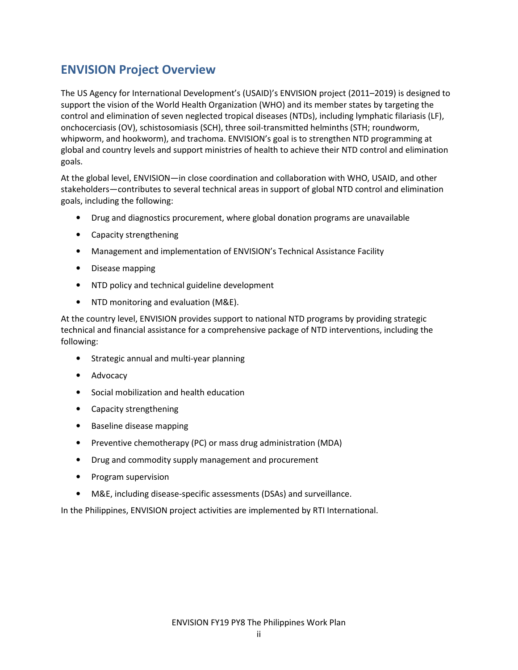# ENVISION Project Overview

The US Agency for International Development's (USAID)'s ENVISION project (2011–2019) is designed to support the vision of the World Health Organization (WHO) and its member states by targeting the control and elimination of seven neglected tropical diseases (NTDs), including lymphatic filariasis (LF), onchocerciasis (OV), schistosomiasis (SCH), three soil-transmitted helminths (STH; roundworm, whipworm, and hookworm), and trachoma. ENVISION's goal is to strengthen NTD programming at global and country levels and support ministries of health to achieve their NTD control and elimination goals.

At the global level, ENVISION—in close coordination and collaboration with WHO, USAID, and other stakeholders—contributes to several technical areas in support of global NTD control and elimination goals, including the following:

- Drug and diagnostics procurement, where global donation programs are unavailable
- Capacity strengthening
- Management and implementation of ENVISION's Technical Assistance Facility
- Disease mapping
- NTD policy and technical guideline development
- NTD monitoring and evaluation (M&E).

At the country level, ENVISION provides support to national NTD programs by providing strategic technical and financial assistance for a comprehensive package of NTD interventions, including the following:

- Strategic annual and multi-year planning
- Advocacy
- Social mobilization and health education
- Capacity strengthening
- Baseline disease mapping
- Preventive chemotherapy (PC) or mass drug administration (MDA)
- Drug and commodity supply management and procurement
- Program supervision
- M&E, including disease-specific assessments (DSAs) and surveillance.

In the Philippines, ENVISION project activities are implemented by RTI International.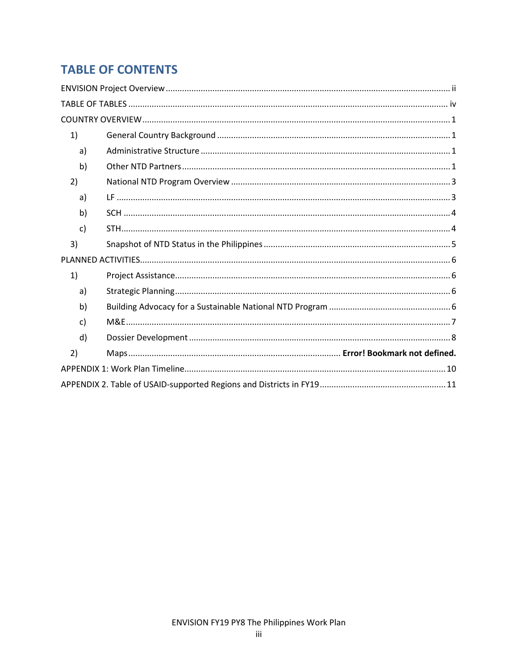# **TABLE OF CONTENTS**

| 1) |  |  |  |  |
|----|--|--|--|--|
| a) |  |  |  |  |
| b) |  |  |  |  |
| 2) |  |  |  |  |
| a) |  |  |  |  |
| b) |  |  |  |  |
| c) |  |  |  |  |
| 3) |  |  |  |  |
|    |  |  |  |  |
| 1) |  |  |  |  |
| a) |  |  |  |  |
| b) |  |  |  |  |
| c) |  |  |  |  |
| d) |  |  |  |  |
| 2) |  |  |  |  |
|    |  |  |  |  |
|    |  |  |  |  |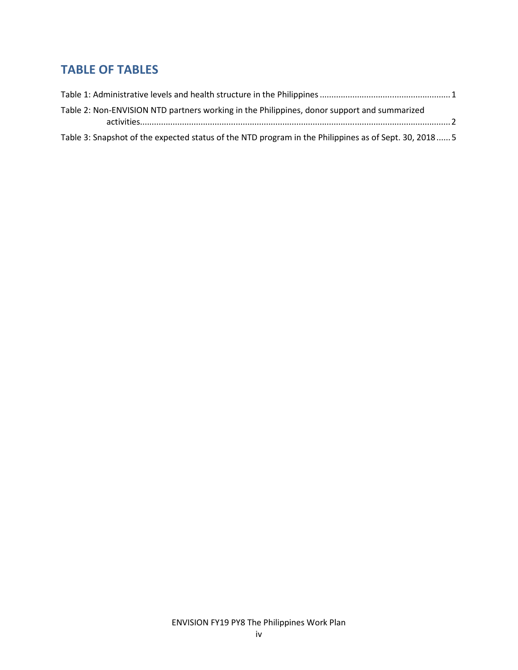# TABLE OF TABLES

| Table 2: Non-ENVISION NTD partners working in the Philippines, donor support and summarized           |  |
|-------------------------------------------------------------------------------------------------------|--|
|                                                                                                       |  |
| Table 3: Snapshot of the expected status of the NTD program in the Philippines as of Sept. 30, 2018 5 |  |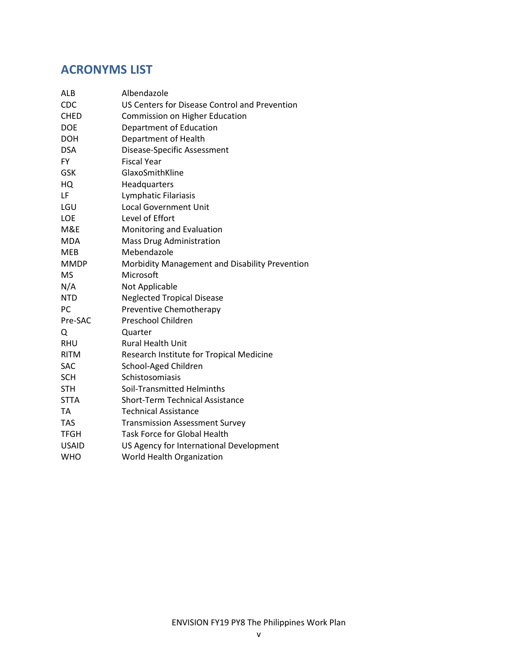## ACRONYMS LIST

| ALB          | Albendazole                                    |
|--------------|------------------------------------------------|
| CDC          | US Centers for Disease Control and Prevention  |
| <b>CHED</b>  | Commission on Higher Education                 |
| <b>DOE</b>   | Department of Education                        |
| <b>DOH</b>   | Department of Health                           |
| <b>DSA</b>   | Disease-Specific Assessment                    |
| <b>FY</b>    | <b>Fiscal Year</b>                             |
| <b>GSK</b>   | GlaxoSmithKline                                |
| HQ           | Headquarters                                   |
| LF           | Lymphatic Filariasis                           |
| LGU          | <b>Local Government Unit</b>                   |
| LOE          | Level of Effort                                |
| M&E          | Monitoring and Evaluation                      |
| <b>MDA</b>   | <b>Mass Drug Administration</b>                |
| <b>MEB</b>   | Mebendazole                                    |
| <b>MMDP</b>  | Morbidity Management and Disability Prevention |
| <b>MS</b>    | Microsoft                                      |
| N/A          | Not Applicable                                 |
| <b>NTD</b>   | <b>Neglected Tropical Disease</b>              |
| PC           | Preventive Chemotherapy                        |
| Pre-SAC      | Preschool Children                             |
| Q            | Quarter                                        |
| <b>RHU</b>   | <b>Rural Health Unit</b>                       |
| <b>RITM</b>  | Research Institute for Tropical Medicine       |
| <b>SAC</b>   | School-Aged Children                           |
| <b>SCH</b>   | Schistosomiasis                                |
| <b>STH</b>   | Soil-Transmitted Helminths                     |
| <b>STTA</b>  | <b>Short-Term Technical Assistance</b>         |
| <b>TA</b>    | <b>Technical Assistance</b>                    |
| <b>TAS</b>   | <b>Transmission Assessment Survey</b>          |
| <b>TFGH</b>  | <b>Task Force for Global Health</b>            |
| <b>USAID</b> | US Agency for International Development        |
| <b>WHO</b>   | World Health Organization                      |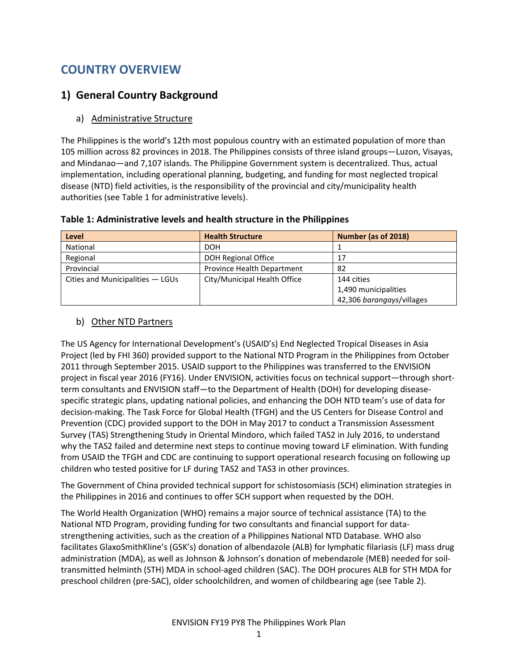# COUNTRY OVERVIEW

## 1) General Country Background

#### a) Administrative Structure

The Philippines is the world's 12th most populous country with an estimated population of more than 105 million across 82 provinces in 2018. The Philippines consists of three island groups—Luzon, Visayas, and Mindanao—and 7,107 islands. The Philippine Government system is decentralized. Thus, actual implementation, including operational planning, budgeting, and funding for most neglected tropical disease (NTD) field activities, is the responsibility of the provincial and city/municipality health authorities (see Table 1 for administrative levels).

| <b>Level</b>                     | <b>Health Structure</b>      | Number (as of 2018)       |  |
|----------------------------------|------------------------------|---------------------------|--|
| National                         | <b>DOH</b>                   |                           |  |
| Regional                         | DOH Regional Office          |                           |  |
| Provincial                       | Province Health Department   | 82                        |  |
| Cities and Municipalities - LGUs | City/Municipal Health Office | 144 cities                |  |
|                                  |                              | 1,490 municipalities      |  |
|                                  |                              | 42,306 barangays/villages |  |

#### Table 1: Administrative levels and health structure in the Philippines

#### b) Other NTD Partners

The US Agency for International Development's (USAID's) End Neglected Tropical Diseases in Asia Project (led by FHI 360) provided support to the National NTD Program in the Philippines from October 2011 through September 2015. USAID support to the Philippines was transferred to the ENVISION project in fiscal year 2016 (FY16). Under ENVISION, activities focus on technical support—through shortterm consultants and ENVISION staff—to the Department of Health (DOH) for developing diseasespecific strategic plans, updating national policies, and enhancing the DOH NTD team's use of data for decision-making. The Task Force for Global Health (TFGH) and the US Centers for Disease Control and Prevention (CDC) provided support to the DOH in May 2017 to conduct a Transmission Assessment Survey (TAS) Strengthening Study in Oriental Mindoro, which failed TAS2 in July 2016, to understand why the TAS2 failed and determine next steps to continue moving toward LF elimination. With funding from USAID the TFGH and CDC are continuing to support operational research focusing on following up children who tested positive for LF during TAS2 and TAS3 in other provinces.

The Government of China provided technical support for schistosomiasis (SCH) elimination strategies in the Philippines in 2016 and continues to offer SCH support when requested by the DOH.

The World Health Organization (WHO) remains a major source of technical assistance (TA) to the National NTD Program, providing funding for two consultants and financial support for datastrengthening activities, such as the creation of a Philippines National NTD Database. WHO also facilitates GlaxoSmithKline's (GSK's) donation of albendazole (ALB) for lymphatic filariasis (LF) mass drug administration (MDA), as well as Johnson & Johnson's donation of mebendazole (MEB) needed for soiltransmitted helminth (STH) MDA in school-aged children (SAC). The DOH procures ALB for STH MDA for preschool children (pre-SAC), older schoolchildren, and women of childbearing age (see Table 2).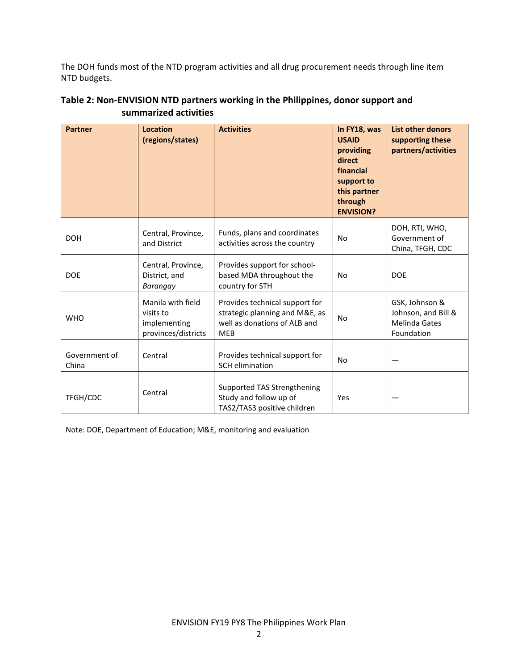The DOH funds most of the NTD program activities and all drug procurement needs through line item NTD budgets.

| <b>Partner</b>         | <b>Location</b><br>(regions/states)                                                                    | <b>Activities</b>                                                                                              | In FY18, was<br><b>USAID</b><br>providing<br>direct<br>financial<br>support to<br>this partner<br>through<br><b>ENVISION?</b> | <b>List other donors</b><br>supporting these<br>partners/activities         |
|------------------------|--------------------------------------------------------------------------------------------------------|----------------------------------------------------------------------------------------------------------------|-------------------------------------------------------------------------------------------------------------------------------|-----------------------------------------------------------------------------|
| <b>DOH</b>             | Central, Province,<br>and District                                                                     | Funds, plans and coordinates<br>activities across the country                                                  | <b>No</b>                                                                                                                     | DOH, RTI, WHO,<br>Government of<br>China, TFGH, CDC                         |
| <b>DOE</b>             | Central, Province,<br>District, and<br>Barangay                                                        | Provides support for school-<br>based MDA throughout the<br>country for STH                                    | <b>No</b>                                                                                                                     | <b>DOE</b>                                                                  |
| <b>WHO</b>             | Manila with field<br>visits to<br>implementing<br>provinces/districts                                  | Provides technical support for<br>strategic planning and M&E, as<br>well as donations of ALB and<br><b>MEB</b> | <b>No</b>                                                                                                                     | GSK, Johnson &<br>Johnson, and Bill &<br><b>Melinda Gates</b><br>Foundation |
| Government of<br>China | Provides technical support for<br>Central<br><b>SCH elimination</b>                                    |                                                                                                                | <b>No</b>                                                                                                                     |                                                                             |
| TFGH/CDC               | Supported TAS Strengthening<br>Central<br>Study and follow up of<br>Yes<br>TAS2/TAS3 positive children |                                                                                                                |                                                                                                                               |                                                                             |

## Table 2: Non-ENVISION NTD partners working in the Philippines, donor support and summarized activities

Note: DOE, Department of Education; M&E, monitoring and evaluation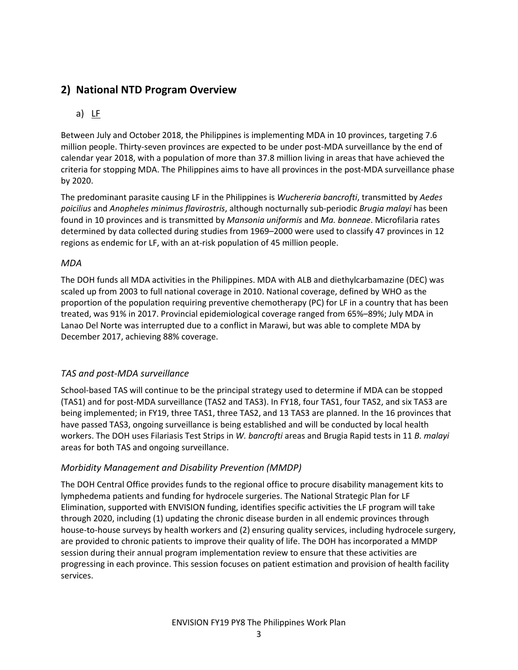## 2) National NTD Program Overview

### a) LF

Between July and October 2018, the Philippines is implementing MDA in 10 provinces, targeting 7.6 million people. Thirty-seven provinces are expected to be under post-MDA surveillance by the end of calendar year 2018, with a population of more than 37.8 million living in areas that have achieved the criteria for stopping MDA. The Philippines aims to have all provinces in the post-MDA surveillance phase by 2020.

The predominant parasite causing LF in the Philippines is Wuchereria bancrofti, transmitted by Aedes poicilius and Anopheles minimus flavirostris, although nocturnally sub-periodic Brugia malayi has been found in 10 provinces and is transmitted by Mansonia uniformis and Ma. bonneae. Microfilaria rates determined by data collected during studies from 1969–2000 were used to classify 47 provinces in 12 regions as endemic for LF, with an at-risk population of 45 million people.

#### MDA

The DOH funds all MDA activities in the Philippines. MDA with ALB and diethylcarbamazine (DEC) was scaled up from 2003 to full national coverage in 2010. National coverage, defined by WHO as the proportion of the population requiring preventive chemotherapy (PC) for LF in a country that has been treated, was 91% in 2017. Provincial epidemiological coverage ranged from 65%–89%; July MDA in Lanao Del Norte was interrupted due to a conflict in Marawi, but was able to complete MDA by December 2017, achieving 88% coverage.

#### TAS and post-MDA surveillance

School-based TAS will continue to be the principal strategy used to determine if MDA can be stopped (TAS1) and for post-MDA surveillance (TAS2 and TAS3). In FY18, four TAS1, four TAS2, and six TAS3 are being implemented; in FY19, three TAS1, three TAS2, and 13 TAS3 are planned. In the 16 provinces that have passed TAS3, ongoing surveillance is being established and will be conducted by local health workers. The DOH uses Filariasis Test Strips in W. bancrofti areas and Brugia Rapid tests in 11 B. malayi areas for both TAS and ongoing surveillance.

#### Morbidity Management and Disability Prevention (MMDP)

The DOH Central Office provides funds to the regional office to procure disability management kits to lymphedema patients and funding for hydrocele surgeries. The National Strategic Plan for LF Elimination, supported with ENVISION funding, identifies specific activities the LF program will take through 2020, including (1) updating the chronic disease burden in all endemic provinces through house-to-house surveys by health workers and (2) ensuring quality services, including hydrocele surgery, are provided to chronic patients to improve their quality of life. The DOH has incorporated a MMDP session during their annual program implementation review to ensure that these activities are progressing in each province. This session focuses on patient estimation and provision of health facility services.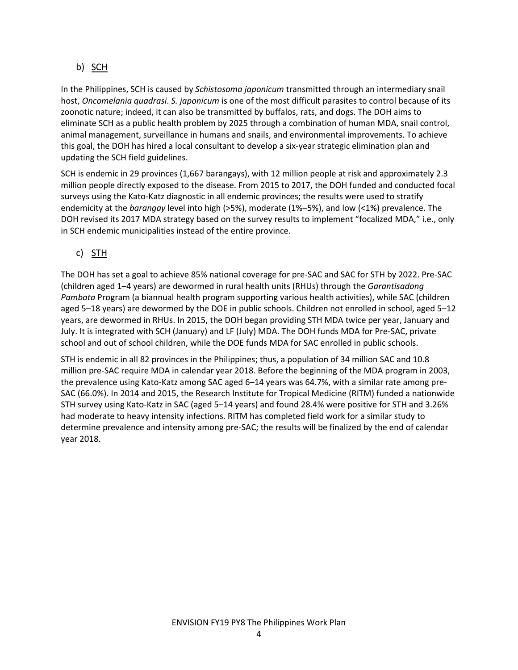#### b) SCH

In the Philippines, SCH is caused by Schistosoma japonicum transmitted through an intermediary snail host, Oncomelania quadrasi. S. japonicum is one of the most difficult parasites to control because of its zoonotic nature; indeed, it can also be transmitted by buffalos, rats, and dogs. The DOH aims to eliminate SCH as a public health problem by 2025 through a combination of human MDA, snail control, animal management, surveillance in humans and snails, and environmental improvements. To achieve this goal, the DOH has hired a local consultant to develop a six-year strategic elimination plan and updating the SCH field guidelines.

SCH is endemic in 29 provinces (1,667 barangays), with 12 million people at risk and approximately 2.3 million people directly exposed to the disease. From 2015 to 2017, the DOH funded and conducted focal surveys using the Kato-Katz diagnostic in all endemic provinces; the results were used to stratify endemicity at the barangay level into high (>5%), moderate (1%–5%), and low (<1%) prevalence. The DOH revised its 2017 MDA strategy based on the survey results to implement "focalized MDA," i.e., only in SCH endemic municipalities instead of the entire province.

#### c) <u>STH</u>

The DOH has set a goal to achieve 85% national coverage for pre-SAC and SAC for STH by 2022. Pre-SAC (children aged 1–4 years) are dewormed in rural health units (RHUs) through the Garantisadong Pambata Program (a biannual health program supporting various health activities), while SAC (children aged 5–18 years) are dewormed by the DOE in public schools. Children not enrolled in school, aged 5–12 years, are dewormed in RHUs. In 2015, the DOH began providing STH MDA twice per year, January and July. It is integrated with SCH (January) and LF (July) MDA. The DOH funds MDA for Pre-SAC, private school and out of school children, while the DOE funds MDA for SAC enrolled in public schools.

STH is endemic in all 82 provinces in the Philippines; thus, a population of 34 million SAC and 10.8 million pre-SAC require MDA in calendar year 2018. Before the beginning of the MDA program in 2003, the prevalence using Kato-Katz among SAC aged 6–14 years was 64.7%, with a similar rate among pre-SAC (66.0%). In 2014 and 2015, the Research Institute for Tropical Medicine (RITM) funded a nationwide STH survey using Kato-Katz in SAC (aged 5–14 years) and found 28.4% were positive for STH and 3.26% had moderate to heavy intensity infections. RITM has completed field work for a similar study to determine prevalence and intensity among pre-SAC; the results will be finalized by the end of calendar year 2018.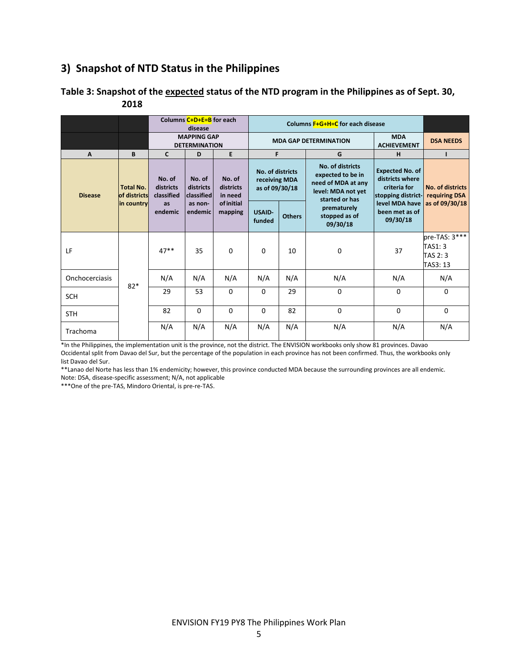## 3) Snapshot of NTD Status in the Philippines

|                |                                                |                                   | Columns C+D+E=B for each<br>disease                                 |                                                     | Columns F+G+H=C for each disease |                                                                                                     |                                                                                 |                                              |                                                 |
|----------------|------------------------------------------------|-----------------------------------|---------------------------------------------------------------------|-----------------------------------------------------|----------------------------------|-----------------------------------------------------------------------------------------------------|---------------------------------------------------------------------------------|----------------------------------------------|-------------------------------------------------|
|                |                                                |                                   | <b>MAPPING GAP</b><br><b>DETERMINATION</b>                          |                                                     |                                  | <b>MDA</b><br><b>MDA GAP DETERMINATION</b><br><b>ACHIEVEMENT</b>                                    |                                                                                 |                                              | <b>DSA NEEDS</b>                                |
| A              | B                                              | C                                 | D                                                                   | E                                                   | F                                |                                                                                                     | G                                                                               | н                                            | $\mathbf{I}$                                    |
| <b>Disease</b> | <b>Total No.</b><br>of districts<br>in country | No. of<br>districts<br>classified | No. of<br>No. of<br>districts<br>districts<br>classified<br>in need | No. of districts<br>receiving MDA<br>as of 09/30/18 |                                  | No. of districts<br>expected to be in<br>need of MDA at any<br>level: MDA not yet<br>started or has | <b>Expected No. of</b><br>districts where<br>criteria for<br>stopping district- | No. of districts<br>requiring DSA            |                                                 |
|                |                                                | <b>as</b><br>endemic              | as non-<br>endemic                                                  | of initial<br>mapping                               | <b>USAID-</b><br>funded          | <b>Others</b>                                                                                       | prematurely<br>stopped as of<br>09/30/18                                        | level MDA have<br>been met as of<br>09/30/18 | as of 09/30/18                                  |
| LF             |                                                | $47**$                            | 35                                                                  | 0                                                   | $\Omega$                         | 10                                                                                                  | $\Omega$                                                                        | 37                                           | pre-TAS: 3***<br>TAS1: 3<br>TAS 2:3<br>TAS3: 13 |
| Onchocerciasis | $82*$                                          | N/A                               | N/A                                                                 | N/A                                                 | N/A                              | N/A                                                                                                 | N/A                                                                             | N/A                                          | N/A                                             |
| <b>SCH</b>     |                                                | 29                                | 53                                                                  | $\Omega$                                            | $\Omega$                         | 29                                                                                                  | $\Omega$                                                                        | $\Omega$                                     | $\mathbf 0$                                     |
| <b>STH</b>     |                                                | 82                                | $\Omega$                                                            | $\Omega$                                            | $\Omega$                         | 82                                                                                                  | $\Omega$                                                                        | $\Omega$                                     | $\Omega$                                        |
| Trachoma       |                                                | N/A                               | N/A                                                                 | N/A                                                 | N/A                              | N/A                                                                                                 | N/A                                                                             | N/A                                          | N/A                                             |

#### Table 3: Snapshot of the expected status of the NTD program in the Philippines as of Sept. 30, 2018

\*In the Philippines, the implementation unit is the province, not the district. The ENVISION workbooks only show 81 provinces. Davao Occidental split from Davao del Sur, but the percentage of the population in each province has not been confirmed. Thus, the workbooks only list Davao del Sur.

\*\*Lanao del Norte has less than 1% endemicity; however, this province conducted MDA because the surrounding provinces are all endemic. Note: DSA, disease-specific assessment; N/A, not applicable

\*\*\*One of the pre-TAS, Mindoro Oriental, is pre-re-TAS.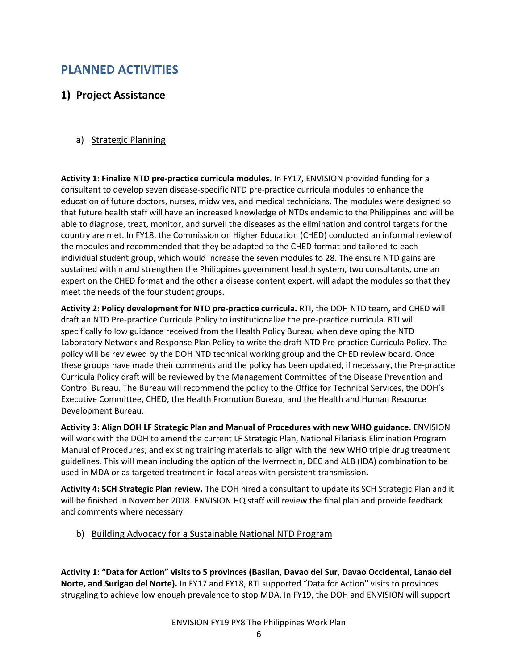# PLANNED ACTIVITIES

## 1) Project Assistance

#### a) Strategic Planning

Activity 1: Finalize NTD pre-practice curricula modules. In FY17, ENVISION provided funding for a consultant to develop seven disease-specific NTD pre-practice curricula modules to enhance the education of future doctors, nurses, midwives, and medical technicians. The modules were designed so that future health staff will have an increased knowledge of NTDs endemic to the Philippines and will be able to diagnose, treat, monitor, and surveil the diseases as the elimination and control targets for the country are met. In FY18, the Commission on Higher Education (CHED) conducted an informal review of the modules and recommended that they be adapted to the CHED format and tailored to each individual student group, which would increase the seven modules to 28. The ensure NTD gains are sustained within and strengthen the Philippines government health system, two consultants, one an expert on the CHED format and the other a disease content expert, will adapt the modules so that they meet the needs of the four student groups.

Activity 2: Policy development for NTD pre-practice curricula. RTI, the DOH NTD team, and CHED will draft an NTD Pre-practice Curricula Policy to institutionalize the pre-practice curricula. RTI will specifically follow guidance received from the Health Policy Bureau when developing the NTD Laboratory Network and Response Plan Policy to write the draft NTD Pre-practice Curricula Policy. The policy will be reviewed by the DOH NTD technical working group and the CHED review board. Once these groups have made their comments and the policy has been updated, if necessary, the Pre-practice Curricula Policy draft will be reviewed by the Management Committee of the Disease Prevention and Control Bureau. The Bureau will recommend the policy to the Office for Technical Services, the DOH's Executive Committee, CHED, the Health Promotion Bureau, and the Health and Human Resource Development Bureau.

Activity 3: Align DOH LF Strategic Plan and Manual of Procedures with new WHO guidance. ENVISION will work with the DOH to amend the current LF Strategic Plan, National Filariasis Elimination Program Manual of Procedures, and existing training materials to align with the new WHO triple drug treatment guidelines. This will mean including the option of the Ivermectin, DEC and ALB (IDA) combination to be used in MDA or as targeted treatment in focal areas with persistent transmission.

Activity 4: SCH Strategic Plan review. The DOH hired a consultant to update its SCH Strategic Plan and it will be finished in November 2018. ENVISION HQ staff will review the final plan and provide feedback and comments where necessary.

b) Building Advocacy for a Sustainable National NTD Program

Activity 1: "Data for Action" visits to 5 provinces (Basilan, Davao del Sur, Davao Occidental, Lanao del Norte, and Surigao del Norte). In FY17 and FY18, RTI supported "Data for Action" visits to provinces struggling to achieve low enough prevalence to stop MDA. In FY19, the DOH and ENVISION will support

ENVISION FY19 PY8 The Philippines Work Plan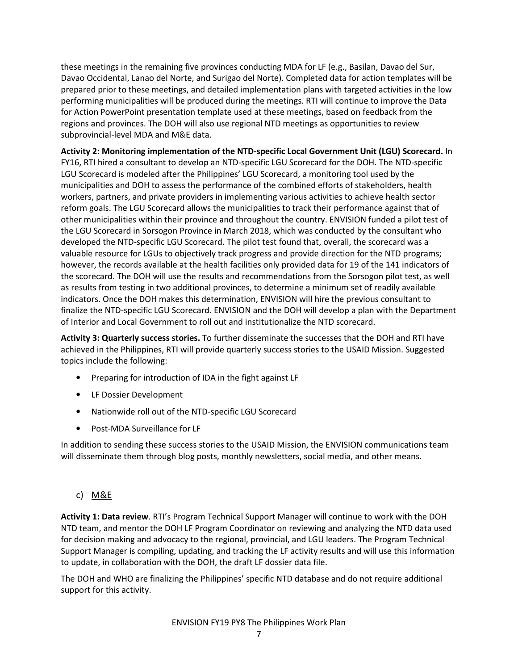these meetings in the remaining five provinces conducting MDA for LF (e.g., Basilan, Davao del Sur, Davao Occidental, Lanao del Norte, and Surigao del Norte). Completed data for action templates will be prepared prior to these meetings, and detailed implementation plans with targeted activities in the low performing municipalities will be produced during the meetings. RTI will continue to improve the Data for Action PowerPoint presentation template used at these meetings, based on feedback from the regions and provinces. The DOH will also use regional NTD meetings as opportunities to review subprovincial-level MDA and M&E data.

Activity 2: Monitoring implementation of the NTD-specific Local Government Unit (LGU) Scorecard. In FY16, RTI hired a consultant to develop an NTD-specific LGU Scorecard for the DOH. The NTD-specific LGU Scorecard is modeled after the Philippines' LGU Scorecard, a monitoring tool used by the municipalities and DOH to assess the performance of the combined efforts of stakeholders, health workers, partners, and private providers in implementing various activities to achieve health sector reform goals. The LGU Scorecard allows the municipalities to track their performance against that of other municipalities within their province and throughout the country. ENVISION funded a pilot test of the LGU Scorecard in Sorsogon Province in March 2018, which was conducted by the consultant who developed the NTD-specific LGU Scorecard. The pilot test found that, overall, the scorecard was a valuable resource for LGUs to objectively track progress and provide direction for the NTD programs; however, the records available at the health facilities only provided data for 19 of the 141 indicators of the scorecard. The DOH will use the results and recommendations from the Sorsogon pilot test, as well as results from testing in two additional provinces, to determine a minimum set of readily available indicators. Once the DOH makes this determination, ENVISION will hire the previous consultant to finalize the NTD-specific LGU Scorecard. ENVISION and the DOH will develop a plan with the Department of Interior and Local Government to roll out and institutionalize the NTD scorecard.

Activity 3: Quarterly success stories. To further disseminate the successes that the DOH and RTI have achieved in the Philippines, RTI will provide quarterly success stories to the USAID Mission. Suggested topics include the following:

- Preparing for introduction of IDA in the fight against LF
- LF Dossier Development
- Nationwide roll out of the NTD-specific LGU Scorecard
- Post-MDA Surveillance for LF

In addition to sending these success stories to the USAID Mission, the ENVISION communications team will disseminate them through blog posts, monthly newsletters, social media, and other means.

#### c) M&E

Activity 1: Data review. RTI's Program Technical Support Manager will continue to work with the DOH NTD team, and mentor the DOH LF Program Coordinator on reviewing and analyzing the NTD data used for decision making and advocacy to the regional, provincial, and LGU leaders. The Program Technical Support Manager is compiling, updating, and tracking the LF activity results and will use this information to update, in collaboration with the DOH, the draft LF dossier data file.

The DOH and WHO are finalizing the Philippines' specific NTD database and do not require additional support for this activity.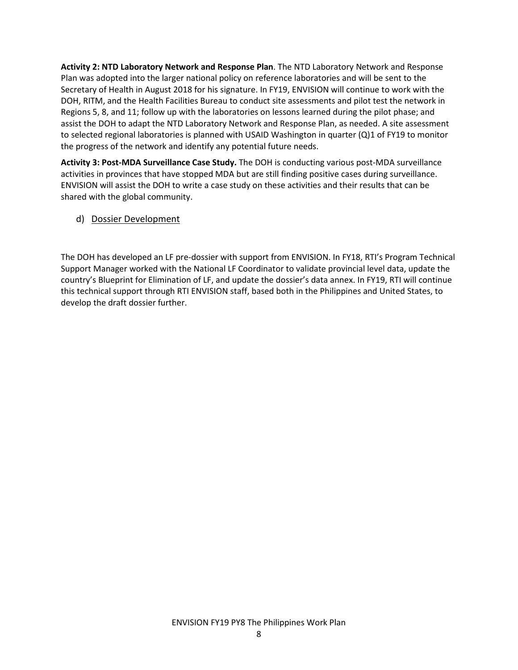Activity 2: NTD Laboratory Network and Response Plan. The NTD Laboratory Network and Response Plan was adopted into the larger national policy on reference laboratories and will be sent to the Secretary of Health in August 2018 for his signature. In FY19, ENVISION will continue to work with the DOH, RITM, and the Health Facilities Bureau to conduct site assessments and pilot test the network in Regions 5, 8, and 11; follow up with the laboratories on lessons learned during the pilot phase; and assist the DOH to adapt the NTD Laboratory Network and Response Plan, as needed. A site assessment to selected regional laboratories is planned with USAID Washington in quarter (Q)1 of FY19 to monitor the progress of the network and identify any potential future needs.

Activity 3: Post-MDA Surveillance Case Study. The DOH is conducting various post-MDA surveillance activities in provinces that have stopped MDA but are still finding positive cases during surveillance. ENVISION will assist the DOH to write a case study on these activities and their results that can be shared with the global community.

d) Dossier Development

The DOH has developed an LF pre-dossier with support from ENVISION. In FY18, RTI's Program Technical Support Manager worked with the National LF Coordinator to validate provincial level data, update the country's Blueprint for Elimination of LF, and update the dossier's data annex. In FY19, RTI will continue this technical support through RTI ENVISION staff, based both in the Philippines and United States, to develop the draft dossier further.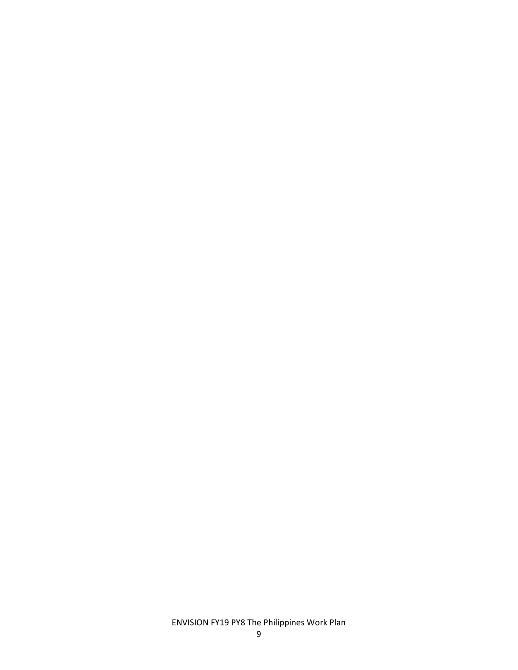ENVISION FY19 PY8 The Philippines Work Plan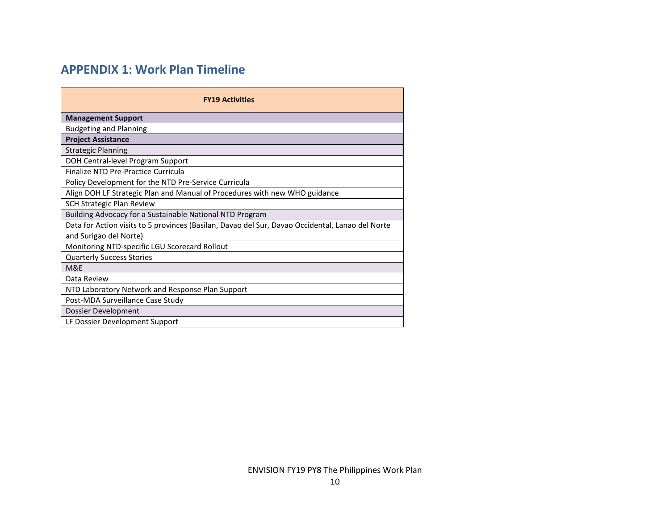## APPENDIX 1: Work Plan Timeline

| <b>FY19 Activities</b>                                                                           |  |  |  |  |  |
|--------------------------------------------------------------------------------------------------|--|--|--|--|--|
| <b>Management Support</b>                                                                        |  |  |  |  |  |
| <b>Budgeting and Planning</b>                                                                    |  |  |  |  |  |
| <b>Project Assistance</b>                                                                        |  |  |  |  |  |
| <b>Strategic Planning</b>                                                                        |  |  |  |  |  |
| DOH Central-level Program Support                                                                |  |  |  |  |  |
| Finalize NTD Pre-Practice Curricula                                                              |  |  |  |  |  |
| Policy Development for the NTD Pre-Service Curricula                                             |  |  |  |  |  |
| Align DOH LF Strategic Plan and Manual of Procedures with new WHO guidance                       |  |  |  |  |  |
| <b>SCH Strategic Plan Review</b>                                                                 |  |  |  |  |  |
| Building Advocacy for a Sustainable National NTD Program                                         |  |  |  |  |  |
| Data for Action visits to 5 provinces (Basilan, Davao del Sur, Davao Occidental, Lanao del Norte |  |  |  |  |  |
| and Surigao del Norte)                                                                           |  |  |  |  |  |
| Monitoring NTD-specific LGU Scorecard Rollout                                                    |  |  |  |  |  |
| <b>Quarterly Success Stories</b>                                                                 |  |  |  |  |  |
| M&F                                                                                              |  |  |  |  |  |
| Data Review                                                                                      |  |  |  |  |  |
| NTD Laboratory Network and Response Plan Support                                                 |  |  |  |  |  |
| Post-MDA Surveillance Case Study                                                                 |  |  |  |  |  |
| Dossier Development                                                                              |  |  |  |  |  |
| LF Dossier Development Support                                                                   |  |  |  |  |  |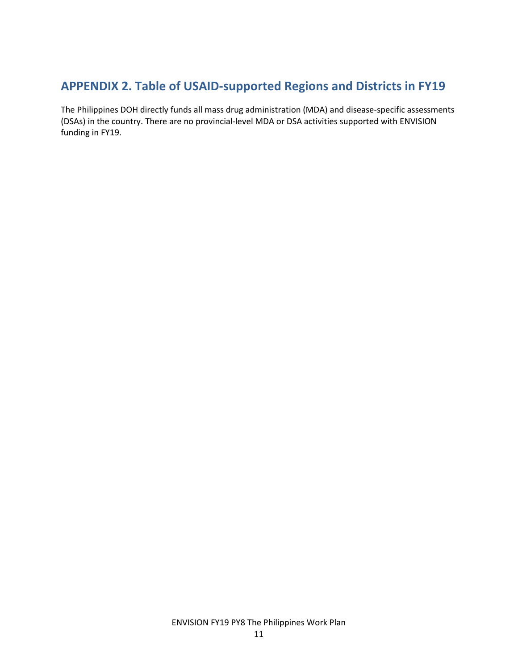# APPENDIX 2. Table of USAID-supported Regions and Districts in FY19

The Philippines DOH directly funds all mass drug administration (MDA) and disease-specific assessments (DSAs) in the country. There are no provincial-level MDA or DSA activities supported with ENVISION funding in FY19.